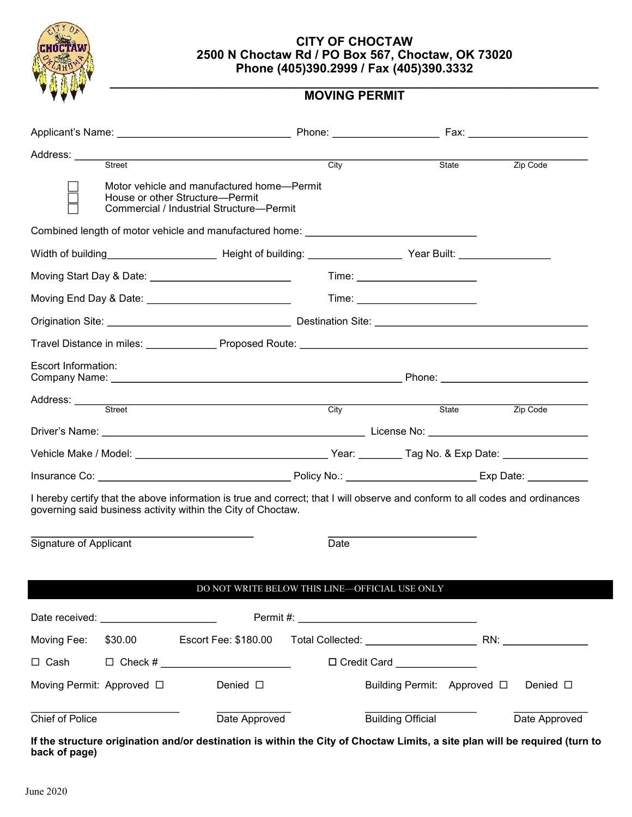

## **CITY OF CHOCTAW 2500 N Choctaw Rd / PO Box 567, Choctaw, OK 73020 Phone (405)390.2999 / Fax (405)390.3332**

#### **\_\_\_\_\_\_\_\_\_\_\_\_\_\_\_\_\_\_\_\_\_\_\_\_\_\_\_\_\_\_\_\_\_\_\_\_\_\_\_\_\_\_\_\_\_\_\_\_\_\_\_\_\_\_\_\_\_\_\_\_\_\_\_\_\_\_\_\_\_\_\_ MOVING PERMIT**

| Address: _____             |               |                                                                                                                                                                                                                                      | City |                                |                       |                  |  |
|----------------------------|---------------|--------------------------------------------------------------------------------------------------------------------------------------------------------------------------------------------------------------------------------------|------|--------------------------------|-----------------------|------------------|--|
|                            | <b>Street</b> | Motor vehicle and manufactured home—Permit<br>House or other Structure-Permit<br>Commercial / Industrial Structure-Permit                                                                                                            |      |                                | State                 | Zip Code         |  |
|                            |               | Combined length of motor vehicle and manufactured home: ________________________                                                                                                                                                     |      |                                |                       |                  |  |
|                            |               |                                                                                                                                                                                                                                      |      |                                |                       |                  |  |
|                            |               |                                                                                                                                                                                                                                      |      | Time: ________________________ |                       |                  |  |
|                            |               |                                                                                                                                                                                                                                      |      |                                |                       |                  |  |
|                            |               |                                                                                                                                                                                                                                      |      |                                |                       |                  |  |
|                            |               |                                                                                                                                                                                                                                      |      |                                |                       |                  |  |
| <b>Escort Information:</b> |               |                                                                                                                                                                                                                                      |      |                                |                       |                  |  |
|                            |               | Address: <u>Contract Street Contract Contract Contract Contract Contract Contract Contract Contract Contract Contract Contract Contract Contract Contract Contract Contract Contract Contract Contract Contract Contract Contrac</u> |      | City                           | State <b>Zip Code</b> |                  |  |
|                            |               |                                                                                                                                                                                                                                      |      |                                |                       |                  |  |
|                            |               |                                                                                                                                                                                                                                      |      |                                |                       |                  |  |
|                            |               |                                                                                                                                                                                                                                      |      |                                |                       |                  |  |
|                            |               | I hereby certify that the above information is true and correct; that I will observe and conform to all codes and ordinances<br>governing said business activity within the City of Choctaw.                                         |      |                                |                       |                  |  |
| Signature of Applicant     |               |                                                                                                                                                                                                                                      | Date |                                |                       |                  |  |
|                            |               |                                                                                                                                                                                                                                      |      |                                |                       |                  |  |
|                            |               | DO NOT WRITE BELOW THIS LINE-OFFICIAL USE ONLY                                                                                                                                                                                       |      |                                |                       |                  |  |
|                            |               |                                                                                                                                                                                                                                      |      |                                |                       |                  |  |
|                            |               |                                                                                                                                                                                                                                      |      |                                |                       |                  |  |
| Moving Fee:                | \$30.00       | Escort Fee: \$180.00                                                                                                                                                                                                                 |      |                                |                       |                  |  |
| $\Box$ Cash                |               |                                                                                                                                                                                                                                      |      | □ Credit Card ______________   |                       |                  |  |
| Moving Permit: Approved □  |               | Denied $\square$                                                                                                                                                                                                                     |      | Building Permit: Approved □    |                       | Denied $\square$ |  |
| Chief of Police            |               | Date Approved                                                                                                                                                                                                                        |      | <b>Building Official</b>       |                       | Date Approved    |  |
| back of page)              |               | If the structure origination and/or destination is within the City of Choctaw Limits, a site plan will be required (turn to                                                                                                          |      |                                |                       |                  |  |

June 2020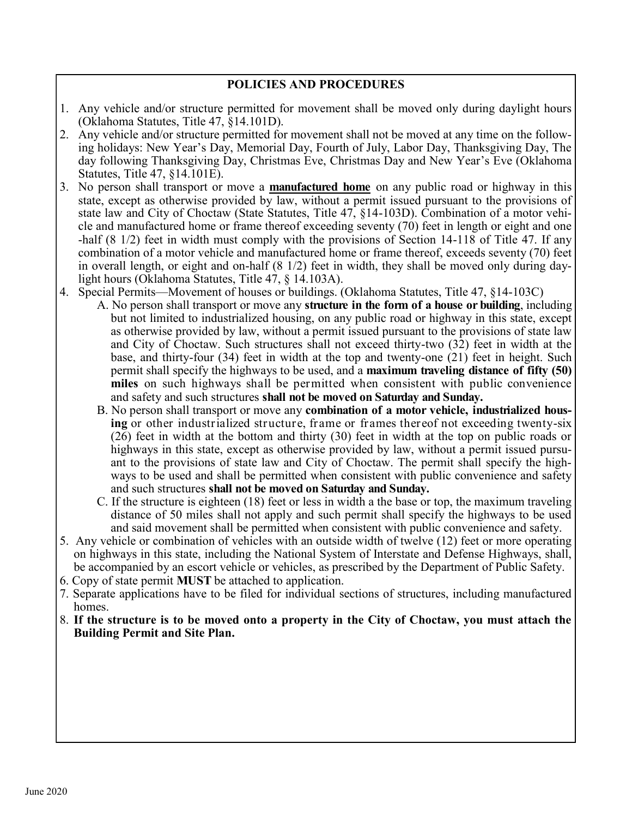## **POLICIES AND PROCEDURES**

- 1. Any vehicle and/or structure permitted for movement shall be moved only during daylight hours (Oklahoma Statutes, Title 47, §14.101D).
- 2. Any vehicle and/or structure permitted for movement shall not be moved at any time on the following holidays: New Year's Day, Memorial Day, Fourth of July, Labor Day, Thanksgiving Day, The day following Thanksgiving Day, Christmas Eve, Christmas Day and New Year's Eve (Oklahoma Statutes, Title 47, §14.101E).
- 3. No person shall transport or move a **manufactured home** on any public road or highway in this state, except as otherwise provided by law, without a permit issued pursuant to the provisions of state law and City of Choctaw (State Statutes, Title 47, §14-103D). Combination of a motor vehicle and manufactured home or frame thereof exceeding seventy (70) feet in length or eight and one -half (8 1/2) feet in width must comply with the provisions of Section 14-118 of Title 47. If any combination of a motor vehicle and manufactured home or frame thereof, exceeds seventy (70) feet in overall length, or eight and on-half (8 1/2) feet in width, they shall be moved only during daylight hours (Oklahoma Statutes, Title 47, § 14.103A).
- 4. Special Permits—Movement of houses or buildings. (Oklahoma Statutes, Title 47, §14-103C)
	- A. No person shall transport or move any **structure in the form of a house or building**, including but not limited to industrialized housing, on any public road or highway in this state, except as otherwise provided by law, without a permit issued pursuant to the provisions of state law and City of Choctaw. Such structures shall not exceed thirty-two (32) feet in width at the base, and thirty-four (34) feet in width at the top and twenty-one (21) feet in height. Such permit shall specify the highways to be used, and a **maximum traveling distance of fifty (50) miles** on such highways shall be permitted when consistent with public convenience and safety and such structures **shall not be moved on Saturday and Sunday.**
	- B. No person shall transport or move any **combination of a motor vehicle, industrialized housing** or other industrialized structure, frame or frames thereof not exceeding twenty-six (26) feet in width at the bottom and thirty (30) feet in width at the top on public roads or highways in this state, except as otherwise provided by law, without a permit issued pursuant to the provisions of state law and City of Choctaw. The permit shall specify the highways to be used and shall be permitted when consistent with public convenience and safety and such structures **shall not be moved on Saturday and Sunday.**
	- C. If the structure is eighteen (18) feet or less in width a the base or top, the maximum traveling distance of 50 miles shall not apply and such permit shall specify the highways to be used and said movement shall be permitted when consistent with public convenience and safety.
- 5. Any vehicle or combination of vehicles with an outside width of twelve (12) feet or more operating on highways in this state, including the National System of Interstate and Defense Highways, shall, be accompanied by an escort vehicle or vehicles, as prescribed by the Department of Public Safety.
- 6. Copy of state permit **MUST** be attached to application.
- 7. Separate applications have to be filed for individual sections of structures, including manufactured homes.
- 8. **If the structure is to be moved onto a property in the City of Choctaw, you must attach the Building Permit and Site Plan.**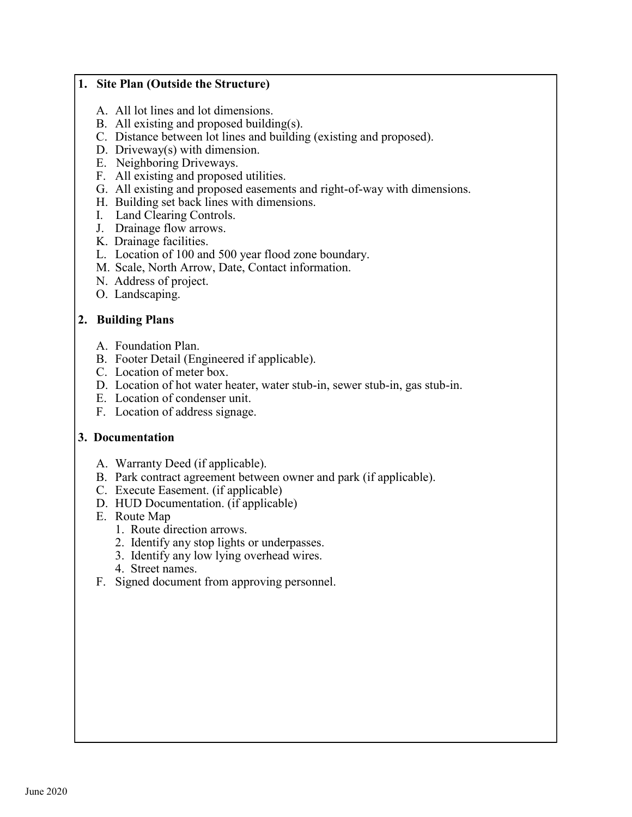## **1. Site Plan (Outside the Structure)**

- A. All lot lines and lot dimensions.
- B. All existing and proposed building(s).
- C. Distance between lot lines and building (existing and proposed).
- D. Driveway(s) with dimension.
- E. Neighboring Driveways.
- F. All existing and proposed utilities.
- G. All existing and proposed easements and right-of-way with dimensions.
- H. Building set back lines with dimensions.
- I. Land Clearing Controls.
- J. Drainage flow arrows.
- K. Drainage facilities.
- L. Location of 100 and 500 year flood zone boundary.
- M. Scale, North Arrow, Date, Contact information.
- N. Address of project.
- O. Landscaping.

# **2. Building Plans**

- A. Foundation Plan.
- B. Footer Detail (Engineered if applicable).
- C. Location of meter box.
- D. Location of hot water heater, water stub-in, sewer stub-in, gas stub-in.
- E. Location of condenser unit.
- F. Location of address signage.

# **3. Documentation**

- A. Warranty Deed (if applicable).
- B. Park contract agreement between owner and park (if applicable).
- C. Execute Easement. (if applicable)
- D. HUD Documentation. (if applicable)
- E. Route Map
	- 1. Route direction arrows.
	- 2. Identify any stop lights or underpasses.
	- 3. Identify any low lying overhead wires.
	- 4. Street names.
- F. Signed document from approving personnel.